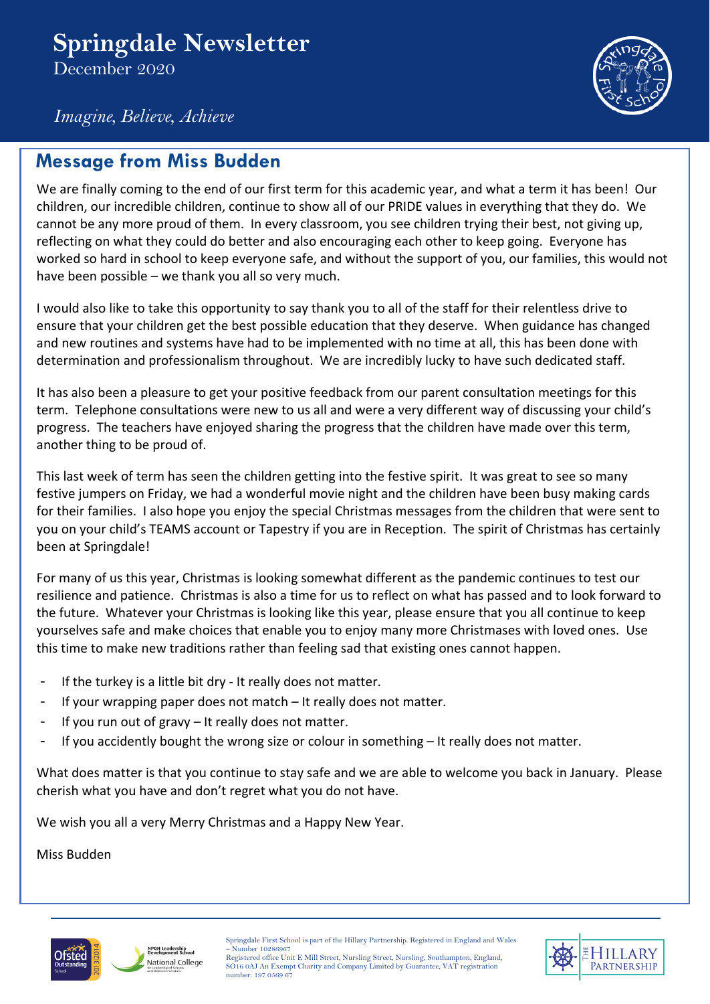# **Springdale Newsletter**

December 2020



*Imagine, Believe, Achieve*

### **Message from Miss Budden**

We are finally coming to the end of our first term for this academic year, and what a term it has been! Our children, our incredible children, continue to show all of our PRIDE values in everything that they do. We cannot be any more proud of them. In every classroom, you see children trying their best, not giving up, reflecting on what they could do better and also encouraging each other to keep going. Everyone has worked so hard in school to keep everyone safe, and without the support of you, our families, this would not have been possible – we thank you all so very much.

I would also like to take this opportunity to say thank you to all of the staff for their relentless drive to ensure that your children get the best possible education that they deserve. When guidance has changed and new routines and systems have had to be implemented with no time at all, this has been done with determination and professionalism throughout. We are incredibly lucky to have such dedicated staff.

It has also been a pleasure to get your positive feedback from our parent consultation meetings for this term. Telephone consultations were new to us all and were a very different way of discussing your child's progress. The teachers have enjoyed sharing the progress that the children have made over this term, another thing to be proud of.

This last week of term has seen the children getting into the festive spirit. It was great to see so many festive jumpers on Friday, we had a wonderful movie night and the children have been busy making cards for their families. I also hope you enjoy the special Christmas messages from the children that were sent to you on your child's TEAMS account or Tapestry if you are in Reception. The spirit of Christmas has certainly been at Springdale!

For many of us this year, Christmas is looking somewhat different as the pandemic continues to test our resilience and patience. Christmas is also a time for us to reflect on what has passed and to look forward to the future. Whatever your Christmas is looking like this year, please ensure that you all continue to keep yourselves safe and make choices that enable you to enjoy many more Christmases with loved ones. Use this time to make new traditions rather than feeling sad that existing ones cannot happen.

- If the turkey is a little bit dry It really does not matter.
- If your wrapping paper does not match  $-$  It really does not matter.
- If you run out of gravy  $-$  It really does not matter.
- If you accidently bought the wrong size or colour in something It really does not matter.

What does matter is that you continue to stay safe and we are able to welcome you back in January. Please cherish what you have and don't regret what you do not have.

We wish you all a very Merry Christmas and a Happy New Year.

Miss Budden



Springdale First School is part of the Hillary Partnership. Registered in England and Wales .<br>Number 10286967

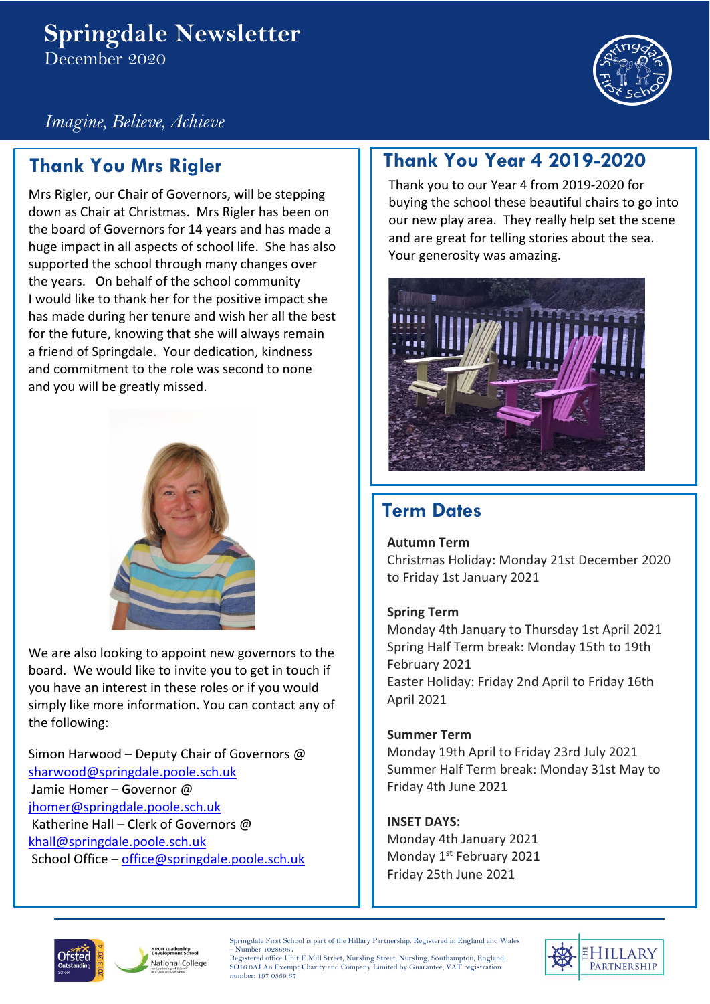### **Springdale Newsletter**  December 2020



*Imagine, Believe, Achieve*

# **Thank You Mrs Rigler**

Mrs Rigler, our Chair of Governors, will be stepping down as Chair at Christmas. Mrs Rigler has been on the board of Governors for 14 years and has made a huge impact in all aspects of school life. She has also supported the school through many changes over the years. On behalf of the school community I would like to thank her for the positive impact she has made during her tenure and wish her all the best for the future, knowing that she will always remain a friend of Springdale. Your dedication, kindness and commitment to the role was second to none and you will be greatly missed.



We are also looking to appoint new governors to the board. We would like to invite you to get in touch if you have an interest in these roles or if you would simply like more information. You can contact any of the following:

Simon Harwood – Deputy Chair of Governors @ [sharwood@springdale.poole.sch.uk](mailto:sharwood@springdale.poole.sch.uk) Jamie Homer – Governor @ [jhomer@springdale.poole.sch.uk](mailto:jhomer@springdale.poole.sch.uk) Katherine Hall – Clerk of Governors @ [khall@springdale.poole.sch.uk](mailto:khall@springdale.poole.sch.uk) School Office – [office@springdale.poole.sch.uk](mailto:office@springdale.poole.sch.uk)

## **Thank You Year 4 2019-2020**

Thank you to our Year 4 from 2019-2020 for buying the school these beautiful chairs to go into our new play area. They really help set the scene and are great for telling stories about the sea. Your generosity was amazing.



### **Term Dates**

**Autumn Term**

Christmas Holiday: Monday 21st December 2020 to Friday 1st January 2021

### **Spring Term**

Monday 4th January to Thursday 1st April 2021 Spring Half Term break: Monday 15th to 19th February 2021 Easter Holiday: Friday 2nd April to Friday 16th April 2021

#### **Summer Term**

Monday 19th April to Friday 23rd July 2021 Summer Half Term break: Monday 31st May to Friday 4th June 2021

### **INSET DAYS:**

Monday 4th January 2021 Monday 1<sup>st</sup> February 2021 Friday 25th June 2021



**NPQH Leadership**<br>Revelopment Echael National College Springdale First School is part of the Hillary Partnership. Registered in England and Wales – Number 10286967

Registered office Unit E Mill Street, Nursling Street, Nursling, Southampton, England, SO16 0AJ An Exempt Charity and Company Limited by Guarantee, VAT registration number: 197 0569 67